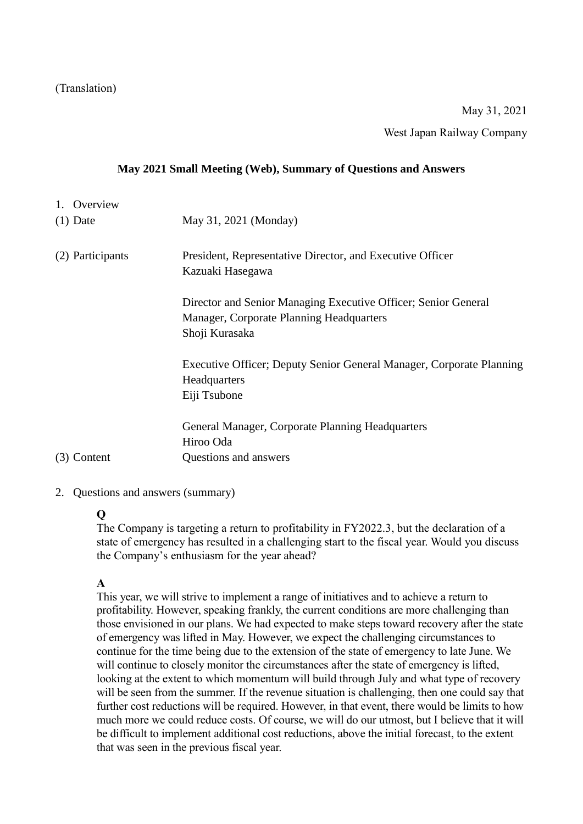(Translation)

# May 31, 2021

West Japan Railway Company

#### **May 2021 Small Meeting (Web), Summary of Questions and Answers**

- 1. Overview (1) Date May 31, 2021 (Monday) (2) Participants President, Representative Director, and Executive Officer Kazuaki Hasegawa Director and Senior Managing Executive Officer; Senior General Manager, Corporate Planning Headquarters Shoji Kurasaka Executive Officer; Deputy Senior General Manager, Corporate Planning Headquarters Eiji Tsubone General Manager, Corporate Planning Headquarters Hiroo Oda (3) Content Questions and answers
- 2. Questions and answers (summary)

#### **Q**

The Company is targeting a return to profitability in FY2022.3, but the declaration of a state of emergency has resulted in a challenging start to the fiscal year. Would you discuss the Company's enthusiasm for the year ahead?

#### **A**

This year, we will strive to implement a range of initiatives and to achieve a return to profitability. However, speaking frankly, the current conditions are more challenging than those envisioned in our plans. We had expected to make steps toward recovery after the state of emergency was lifted in May. However, we expect the challenging circumstances to continue for the time being due to the extension of the state of emergency to late June. We will continue to closely monitor the circumstances after the state of emergency is lifted, looking at the extent to which momentum will build through July and what type of recovery will be seen from the summer. If the revenue situation is challenging, then one could say that further cost reductions will be required. However, in that event, there would be limits to how much more we could reduce costs. Of course, we will do our utmost, but I believe that it will be difficult to implement additional cost reductions, above the initial forecast, to the extent that was seen in the previous fiscal year.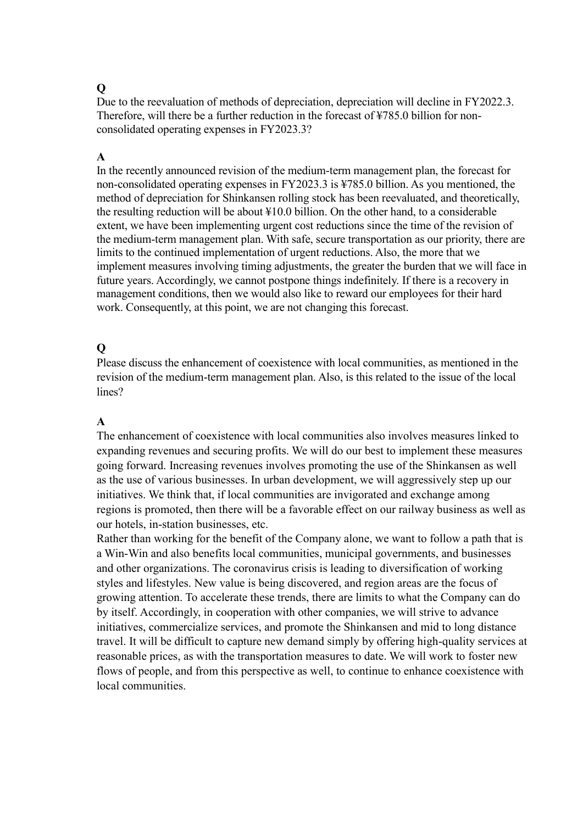Due to the reevaluation of methods of depreciation, depreciation will decline in FY2022.3. Therefore, will there be a further reduction in the forecast of ¥785.0 billion for nonconsolidated operating expenses in FY2023.3?

## **A**

In the recently announced revision of the medium-term management plan, the forecast for non-consolidated operating expenses in FY2023.3 is ¥785.0 billion. As you mentioned, the method of depreciation for Shinkansen rolling stock has been reevaluated, and theoretically, the resulting reduction will be about ¥10.0 billion. On the other hand, to a considerable extent, we have been implementing urgent cost reductions since the time of the revision of the medium-term management plan. With safe, secure transportation as our priority, there are limits to the continued implementation of urgent reductions. Also, the more that we implement measures involving timing adjustments, the greater the burden that we will face in future years. Accordingly, we cannot postpone things indefinitely. If there is a recovery in management conditions, then we would also like to reward our employees for their hard work. Consequently, at this point, we are not changing this forecast.

# **Q**

Please discuss the enhancement of coexistence with local communities, as mentioned in the revision of the medium-term management plan. Also, is this related to the issue of the local lines?

# **A**

The enhancement of coexistence with local communities also involves measures linked to expanding revenues and securing profits. We will do our best to implement these measures going forward. Increasing revenues involves promoting the use of the Shinkansen as well as the use of various businesses. In urban development, we will aggressively step up our initiatives. We think that, if local communities are invigorated and exchange among regions is promoted, then there will be a favorable effect on our railway business as well as our hotels, in-station businesses, etc.

Rather than working for the benefit of the Company alone, we want to follow a path that is a Win-Win and also benefits local communities, municipal governments, and businesses and other organizations. The coronavirus crisis is leading to diversification of working styles and lifestyles. New value is being discovered, and region areas are the focus of growing attention. To accelerate these trends, there are limits to what the Company can do by itself. Accordingly, in cooperation with other companies, we will strive to advance initiatives, commercialize services, and promote the Shinkansen and mid to long distance travel. It will be difficult to capture new demand simply by offering high-quality services at reasonable prices, as with the transportation measures to date. We will work to foster new flows of people, and from this perspective as well, to continue to enhance coexistence with local communities.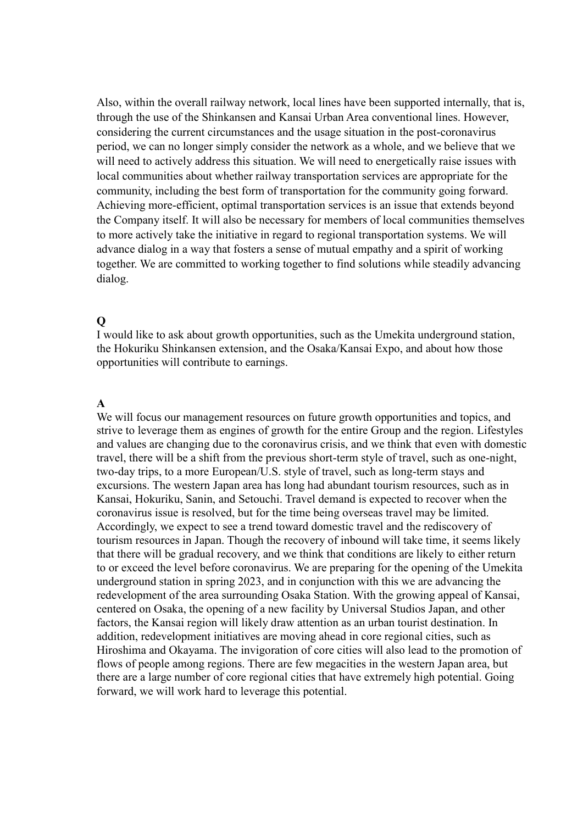Also, within the overall railway network, local lines have been supported internally, that is, through the use of the Shinkansen and Kansai Urban Area conventional lines. However, considering the current circumstances and the usage situation in the post-coronavirus period, we can no longer simply consider the network as a whole, and we believe that we will need to actively address this situation. We will need to energetically raise issues with local communities about whether railway transportation services are appropriate for the community, including the best form of transportation for the community going forward. Achieving more-efficient, optimal transportation services is an issue that extends beyond the Company itself. It will also be necessary for members of local communities themselves to more actively take the initiative in regard to regional transportation systems. We will advance dialog in a way that fosters a sense of mutual empathy and a spirit of working together. We are committed to working together to find solutions while steadily advancing dialog.

#### **Q**

I would like to ask about growth opportunities, such as the Umekita underground station, the Hokuriku Shinkansen extension, and the Osaka/Kansai Expo, and about how those opportunities will contribute to earnings.

#### **A**

We will focus our management resources on future growth opportunities and topics, and strive to leverage them as engines of growth for the entire Group and the region. Lifestyles and values are changing due to the coronavirus crisis, and we think that even with domestic travel, there will be a shift from the previous short-term style of travel, such as one-night, two-day trips, to a more European/U.S. style of travel, such as long-term stays and excursions. The western Japan area has long had abundant tourism resources, such as in Kansai, Hokuriku, Sanin, and Setouchi. Travel demand is expected to recover when the coronavirus issue is resolved, but for the time being overseas travel may be limited. Accordingly, we expect to see a trend toward domestic travel and the rediscovery of tourism resources in Japan. Though the recovery of inbound will take time, it seems likely that there will be gradual recovery, and we think that conditions are likely to either return to or exceed the level before coronavirus. We are preparing for the opening of the Umekita underground station in spring 2023, and in conjunction with this we are advancing the redevelopment of the area surrounding Osaka Station. With the growing appeal of Kansai, centered on Osaka, the opening of a new facility by Universal Studios Japan, and other factors, the Kansai region will likely draw attention as an urban tourist destination. In addition, redevelopment initiatives are moving ahead in core regional cities, such as Hiroshima and Okayama. The invigoration of core cities will also lead to the promotion of flows of people among regions. There are few megacities in the western Japan area, but there are a large number of core regional cities that have extremely high potential. Going forward, we will work hard to leverage this potential.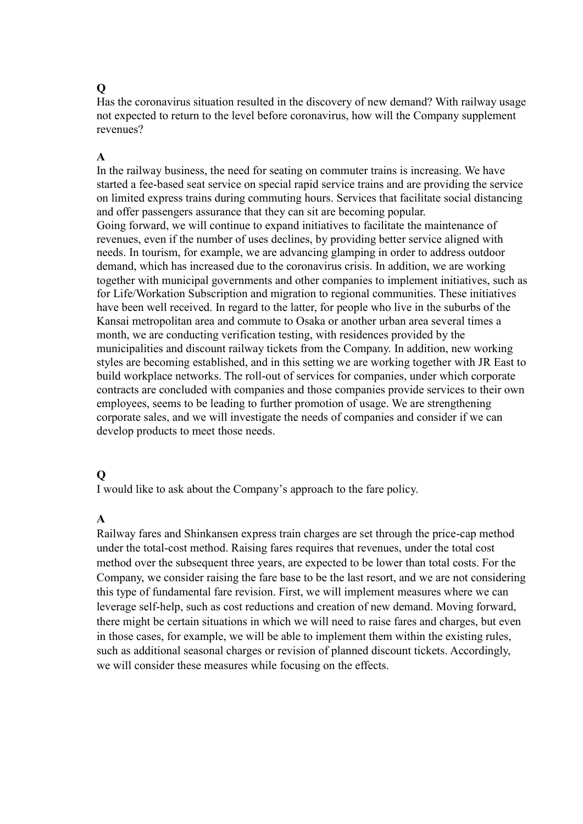Has the coronavirus situation resulted in the discovery of new demand? With railway usage not expected to return to the level before coronavirus, how will the Company supplement revenues?

## **A**

In the railway business, the need for seating on commuter trains is increasing. We have started a fee-based seat service on special rapid service trains and are providing the service on limited express trains during commuting hours. Services that facilitate social distancing and offer passengers assurance that they can sit are becoming popular. Going forward, we will continue to expand initiatives to facilitate the maintenance of revenues, even if the number of uses declines, by providing better service aligned with needs. In tourism, for example, we are advancing glamping in order to address outdoor demand, which has increased due to the coronavirus crisis. In addition, we are working together with municipal governments and other companies to implement initiatives, such as for Life/Workation Subscription and migration to regional communities. These initiatives have been well received. In regard to the latter, for people who live in the suburbs of the Kansai metropolitan area and commute to Osaka or another urban area several times a month, we are conducting verification testing, with residences provided by the municipalities and discount railway tickets from the Company. In addition, new working styles are becoming established, and in this setting we are working together with JR East to build workplace networks. The roll-out of services for companies, under which corporate contracts are concluded with companies and those companies provide services to their own employees, seems to be leading to further promotion of usage. We are strengthening corporate sales, and we will investigate the needs of companies and consider if we can develop products to meet those needs.

#### **Q**

I would like to ask about the Company's approach to the fare policy.

#### **A**

Railway fares and Shinkansen express train charges are set through the price-cap method under the total-cost method. Raising fares requires that revenues, under the total cost method over the subsequent three years, are expected to be lower than total costs. For the Company, we consider raising the fare base to be the last resort, and we are not considering this type of fundamental fare revision. First, we will implement measures where we can leverage self-help, such as cost reductions and creation of new demand. Moving forward, there might be certain situations in which we will need to raise fares and charges, but even in those cases, for example, we will be able to implement them within the existing rules, such as additional seasonal charges or revision of planned discount tickets. Accordingly, we will consider these measures while focusing on the effects.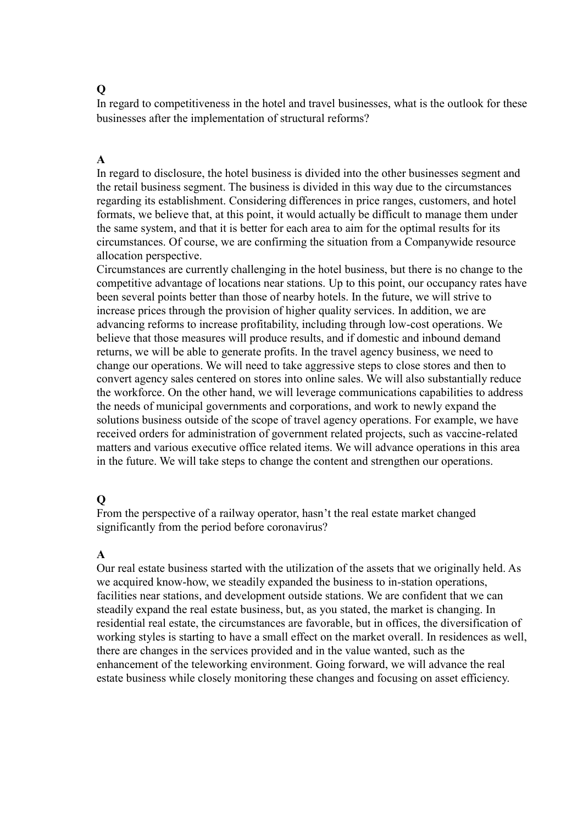In regard to competitiveness in the hotel and travel businesses, what is the outlook for these businesses after the implementation of structural reforms?

#### **A**

In regard to disclosure, the hotel business is divided into the other businesses segment and the retail business segment. The business is divided in this way due to the circumstances regarding its establishment. Considering differences in price ranges, customers, and hotel formats, we believe that, at this point, it would actually be difficult to manage them under the same system, and that it is better for each area to aim for the optimal results for its circumstances. Of course, we are confirming the situation from a Companywide resource allocation perspective.

Circumstances are currently challenging in the hotel business, but there is no change to the competitive advantage of locations near stations. Up to this point, our occupancy rates have been several points better than those of nearby hotels. In the future, we will strive to increase prices through the provision of higher quality services. In addition, we are advancing reforms to increase profitability, including through low-cost operations. We believe that those measures will produce results, and if domestic and inbound demand returns, we will be able to generate profits. In the travel agency business, we need to change our operations. We will need to take aggressive steps to close stores and then to convert agency sales centered on stores into online sales. We will also substantially reduce the workforce. On the other hand, we will leverage communications capabilities to address the needs of municipal governments and corporations, and work to newly expand the solutions business outside of the scope of travel agency operations. For example, we have received orders for administration of government related projects, such as vaccine-related matters and various executive office related items. We will advance operations in this area in the future. We will take steps to change the content and strengthen our operations.

#### **Q**

From the perspective of a railway operator, hasn't the real estate market changed significantly from the period before coronavirus?

#### **A**

Our real estate business started with the utilization of the assets that we originally held. As we acquired know-how, we steadily expanded the business to in-station operations, facilities near stations, and development outside stations. We are confident that we can steadily expand the real estate business, but, as you stated, the market is changing. In residential real estate, the circumstances are favorable, but in offices, the diversification of working styles is starting to have a small effect on the market overall. In residences as well, there are changes in the services provided and in the value wanted, such as the enhancement of the teleworking environment. Going forward, we will advance the real estate business while closely monitoring these changes and focusing on asset efficiency.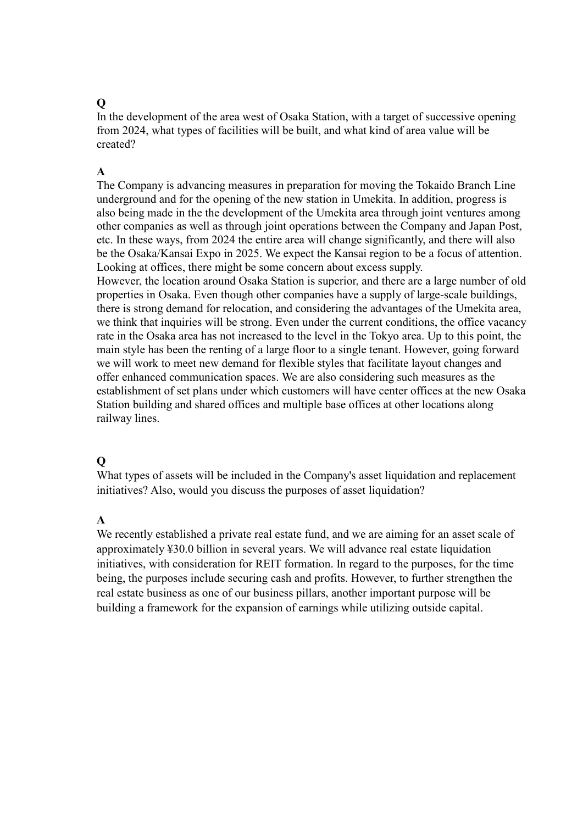In the development of the area west of Osaka Station, with a target of successive opening from 2024, what types of facilities will be built, and what kind of area value will be created?

## **A**

The Company is advancing measures in preparation for moving the Tokaido Branch Line underground and for the opening of the new station in Umekita. In addition, progress is also being made in the the development of the Umekita area through joint ventures among other companies as well as through joint operations between the Company and Japan Post, etc. In these ways, from 2024 the entire area will change significantly, and there will also be the Osaka/Kansai Expo in 2025. We expect the Kansai region to be a focus of attention. Looking at offices, there might be some concern about excess supply.

However, the location around Osaka Station is superior, and there are a large number of old properties in Osaka. Even though other companies have a supply of large-scale buildings, there is strong demand for relocation, and considering the advantages of the Umekita area, we think that inquiries will be strong. Even under the current conditions, the office vacancy rate in the Osaka area has not increased to the level in the Tokyo area. Up to this point, the main style has been the renting of a large floor to a single tenant. However, going forward we will work to meet new demand for flexible styles that facilitate layout changes and offer enhanced communication spaces. We are also considering such measures as the establishment of set plans under which customers will have center offices at the new Osaka Station building and shared offices and multiple base offices at other locations along railway lines.

#### **Q**

What types of assets will be included in the Company's asset liquidation and replacement initiatives? Also, would you discuss the purposes of asset liquidation?

#### **A**

We recently established a private real estate fund, and we are aiming for an asset scale of approximately ¥30.0 billion in several years. We will advance real estate liquidation initiatives, with consideration for REIT formation. In regard to the purposes, for the time being, the purposes include securing cash and profits. However, to further strengthen the real estate business as one of our business pillars, another important purpose will be building a framework for the expansion of earnings while utilizing outside capital.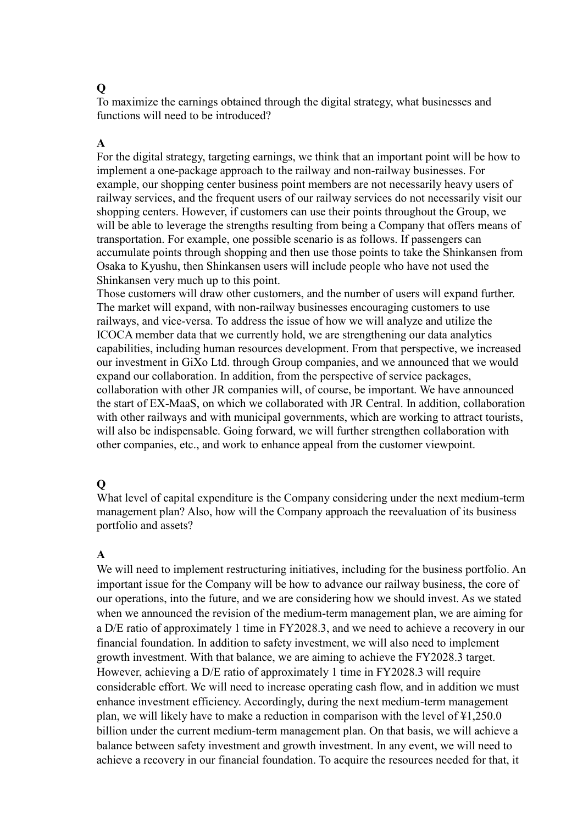To maximize the earnings obtained through the digital strategy, what businesses and functions will need to be introduced?

## **A**

For the digital strategy, targeting earnings, we think that an important point will be how to implement a one-package approach to the railway and non-railway businesses. For example, our shopping center business point members are not necessarily heavy users of railway services, and the frequent users of our railway services do not necessarily visit our shopping centers. However, if customers can use their points throughout the Group, we will be able to leverage the strengths resulting from being a Company that offers means of transportation. For example, one possible scenario is as follows. If passengers can accumulate points through shopping and then use those points to take the Shinkansen from Osaka to Kyushu, then Shinkansen users will include people who have not used the Shinkansen very much up to this point.

Those customers will draw other customers, and the number of users will expand further. The market will expand, with non-railway businesses encouraging customers to use railways, and vice-versa. To address the issue of how we will analyze and utilize the ICOCA member data that we currently hold, we are strengthening our data analytics capabilities, including human resources development. From that perspective, we increased our investment in GiXo Ltd. through Group companies, and we announced that we would expand our collaboration. In addition, from the perspective of service packages, collaboration with other JR companies will, of course, be important. We have announced the start of EX-MaaS, on which we collaborated with JR Central. In addition, collaboration with other railways and with municipal governments, which are working to attract tourists, will also be indispensable. Going forward, we will further strengthen collaboration with other companies, etc., and work to enhance appeal from the customer viewpoint.

#### **Q**

What level of capital expenditure is the Company considering under the next medium-term management plan? Also, how will the Company approach the reevaluation of its business portfolio and assets?

#### **A**

We will need to implement restructuring initiatives, including for the business portfolio. An important issue for the Company will be how to advance our railway business, the core of our operations, into the future, and we are considering how we should invest. As we stated when we announced the revision of the medium-term management plan, we are aiming for a D/E ratio of approximately 1 time in FY2028.3, and we need to achieve a recovery in our financial foundation. In addition to safety investment, we will also need to implement growth investment. With that balance, we are aiming to achieve the FY2028.3 target. However, achieving a D/E ratio of approximately 1 time in FY2028.3 will require considerable effort. We will need to increase operating cash flow, and in addition we must enhance investment efficiency. Accordingly, during the next medium-term management plan, we will likely have to make a reduction in comparison with the level of ¥1,250.0 billion under the current medium-term management plan. On that basis, we will achieve a balance between safety investment and growth investment. In any event, we will need to achieve a recovery in our financial foundation. To acquire the resources needed for that, it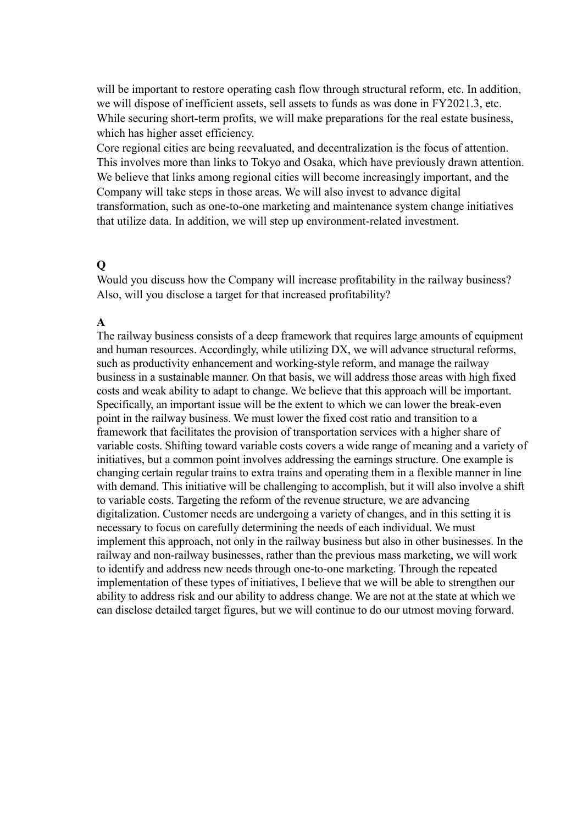will be important to restore operating cash flow through structural reform, etc. In addition, we will dispose of inefficient assets, sell assets to funds as was done in FY2021.3, etc. While securing short-term profits, we will make preparations for the real estate business, which has higher asset efficiency.

Core regional cities are being reevaluated, and decentralization is the focus of attention. This involves more than links to Tokyo and Osaka, which have previously drawn attention. We believe that links among regional cities will become increasingly important, and the Company will take steps in those areas. We will also invest to advance digital transformation, such as one-to-one marketing and maintenance system change initiatives that utilize data. In addition, we will step up environment-related investment.

#### **Q**

Would you discuss how the Company will increase profitability in the railway business? Also, will you disclose a target for that increased profitability?

#### **A**

The railway business consists of a deep framework that requires large amounts of equipment and human resources. Accordingly, while utilizing DX, we will advance structural reforms, such as productivity enhancement and working-style reform, and manage the railway business in a sustainable manner. On that basis, we will address those areas with high fixed costs and weak ability to adapt to change. We believe that this approach will be important. Specifically, an important issue will be the extent to which we can lower the break-even point in the railway business. We must lower the fixed cost ratio and transition to a framework that facilitates the provision of transportation services with a higher share of variable costs. Shifting toward variable costs covers a wide range of meaning and a variety of initiatives, but a common point involves addressing the earnings structure. One example is changing certain regular trains to extra trains and operating them in a flexible manner in line with demand. This initiative will be challenging to accomplish, but it will also involve a shift to variable costs. Targeting the reform of the revenue structure, we are advancing digitalization. Customer needs are undergoing a variety of changes, and in this setting it is necessary to focus on carefully determining the needs of each individual. We must implement this approach, not only in the railway business but also in other businesses. In the railway and non-railway businesses, rather than the previous mass marketing, we will work to identify and address new needs through one-to-one marketing. Through the repeated implementation of these types of initiatives, I believe that we will be able to strengthen our ability to address risk and our ability to address change. We are not at the state at which we can disclose detailed target figures, but we will continue to do our utmost moving forward.